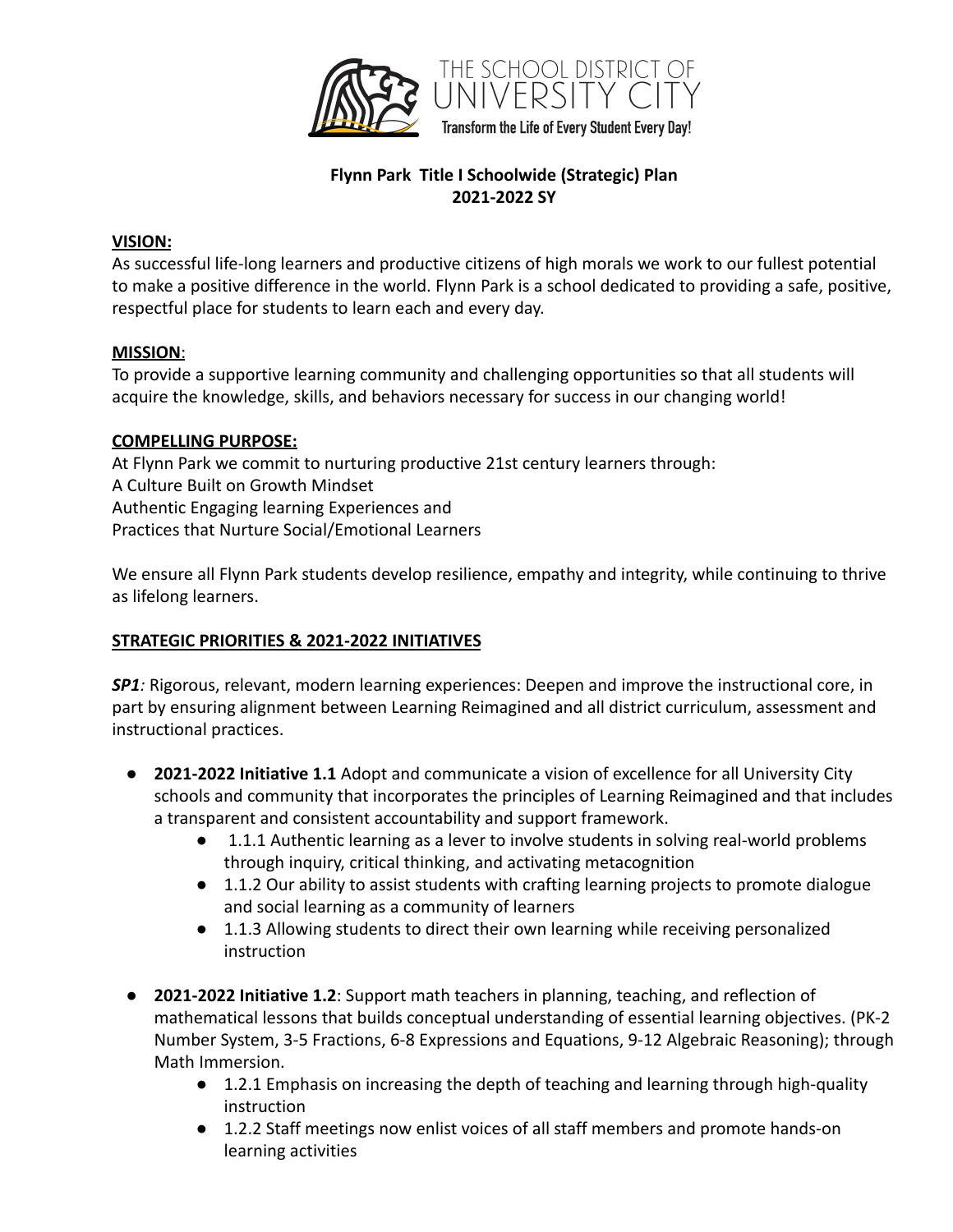

# **Flynn Park Title I Schoolwide (Strategic) Plan 2021-2022 SY**

### **VISION:**

As successful life-long learners and productive citizens of high morals we work to our fullest potential to make a positive difference in the world. Flynn Park is a school dedicated to providing a safe, positive, respectful place for students to learn each and every day.

### **MISSION**:

To provide a supportive learning community and challenging opportunities so that all students will acquire the knowledge, skills, and behaviors necessary for success in our changing world!

### **COMPELLING PURPOSE:**

At Flynn Park we commit to nurturing productive 21st century learners through: A Culture Built on Growth Mindset Authentic Engaging learning Experiences and Practices that Nurture Social/Emotional Learners

We ensure all Flynn Park students develop resilience, empathy and integrity, while continuing to thrive as lifelong learners.

## **STRATEGIC PRIORITIES & 2021-2022 INITIATIVES**

*SP1:* Rigorous, relevant, modern learning experiences: Deepen and improve the instructional core, in part by ensuring alignment between Learning Reimagined and all district curriculum, assessment and instructional practices.

- **2021-2022 Initiative 1.1** Adopt and communicate a vision of excellence for all University City schools and community that incorporates the principles of Learning Reimagined and that includes a transparent and consistent accountability and support framework.
	- 1.1.1 Authentic learning as a lever to involve students in solving real-world problems through inquiry, critical thinking, and activating metacognition
	- 1.1.2 Our ability to assist students with crafting learning projects to promote dialogue and social learning as a community of learners
	- 1.1.3 Allowing students to direct their own learning while receiving personalized instruction
- **2021-2022 Initiative 1.2**: Support math teachers in planning, teaching, and reflection of mathematical lessons that builds conceptual understanding of essential learning objectives. (PK-2 Number System, 3-5 Fractions, 6-8 Expressions and Equations, 9-12 Algebraic Reasoning); through Math Immersion.
	- 1.2.1 Emphasis on increasing the depth of teaching and learning through high-quality instruction
	- 1.2.2 Staff meetings now enlist voices of all staff members and promote hands-on learning activities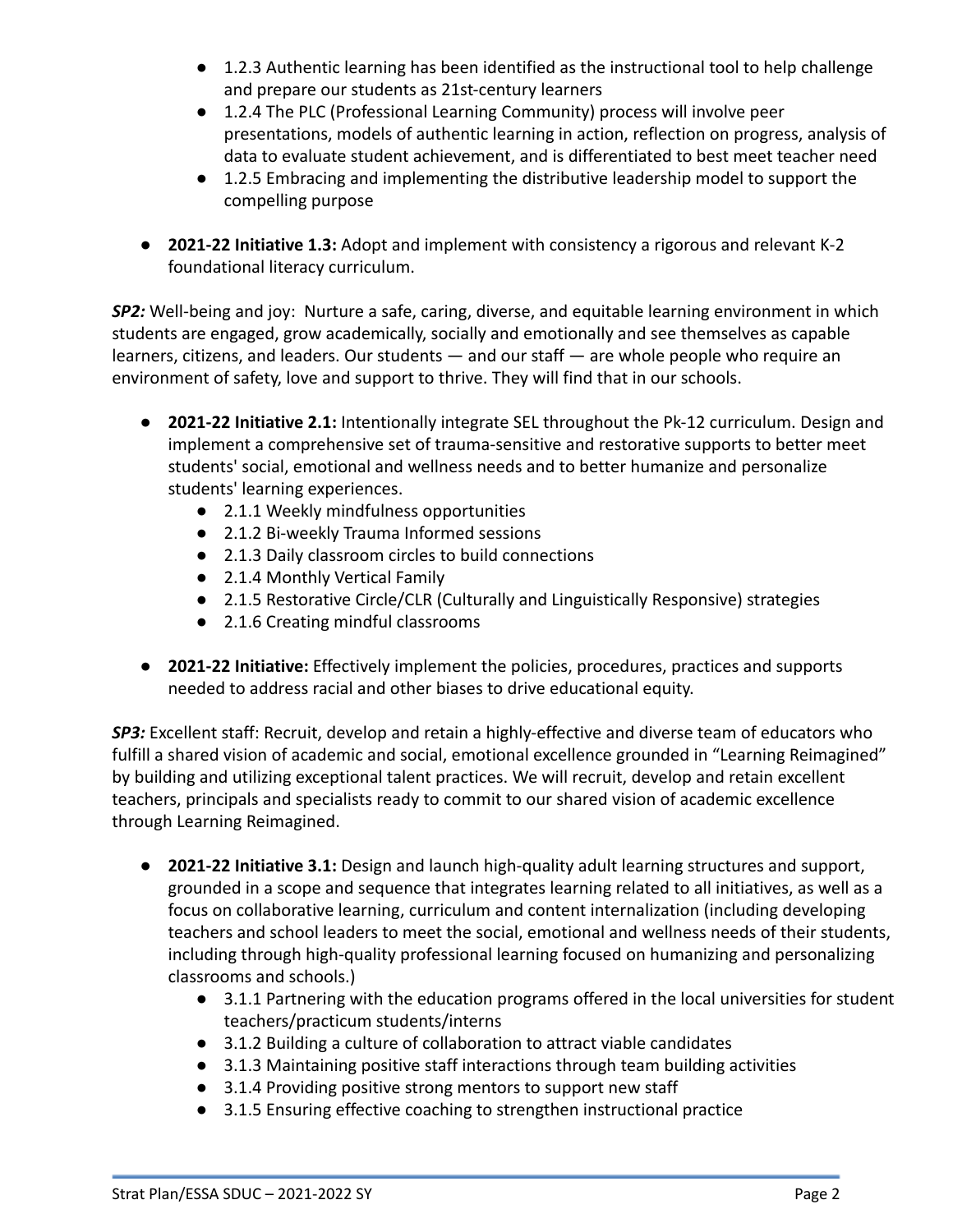- 1.2.3 Authentic learning has been identified as the instructional tool to help challenge and prepare our students as 21st-century learners
- 1.2.4 The PLC (Professional Learning Community) process will involve peer presentations, models of authentic learning in action, reflection on progress, analysis of data to evaluate student achievement, and is differentiated to best meet teacher need
- 1.2.5 Embracing and implementing the distributive leadership model to support the compelling purpose
- **2021-22 Initiative 1.3:** Adopt and implement with consistency a rigorous and relevant K-2 foundational literacy curriculum.

*SP2:* Well-being and joy: Nurture a safe, caring, diverse, and equitable learning environment in which students are engaged, grow academically, socially and emotionally and see themselves as capable learners, citizens, and leaders. Our students — and our staff — are whole people who require an environment of safety, love and support to thrive. They will find that in our schools.

- **2021-22 Initiative 2.1:** Intentionally integrate SEL throughout the Pk-12 curriculum. Design and implement a comprehensive set of trauma-sensitive and restorative supports to better meet students' social, emotional and wellness needs and to better humanize and personalize students' learning experiences.
	- 2.1.1 Weekly mindfulness opportunities
	- 2.1.2 Bi-weekly Trauma Informed sessions
	- 2.1.3 Daily classroom circles to build connections
	- 2.1.4 Monthly Vertical Family
	- 2.1.5 Restorative Circle/CLR (Culturally and Linguistically Responsive) strategies
	- 2.1.6 Creating mindful classrooms
- **2021-22 Initiative:** Effectively implement the policies, procedures, practices and supports needed to address racial and other biases to drive educational equity.

*SP3:* Excellent staff: Recruit, develop and retain a highly-effective and diverse team of educators who fulfill a shared vision of academic and social, emotional excellence grounded in "Learning Reimagined" by building and utilizing exceptional talent practices. We will recruit, develop and retain excellent teachers, principals and specialists ready to commit to our shared vision of academic excellence through Learning Reimagined.

- **2021-22 Initiative 3.1:** Design and launch high-quality adult learning structures and support, grounded in a scope and sequence that integrates learning related to all initiatives, as well as a focus on collaborative learning, curriculum and content internalization (including developing teachers and school leaders to meet the social, emotional and wellness needs of their students, including through high-quality professional learning focused on humanizing and personalizing classrooms and schools.)
	- 3.1.1 Partnering with the education programs offered in the local universities for student teachers/practicum students/interns
	- 3.1.2 Building a culture of collaboration to attract viable candidates
	- 3.1.3 Maintaining positive staff interactions through team building activities
	- 3.1.4 Providing positive strong mentors to support new staff
	- 3.1.5 Ensuring effective coaching to strengthen instructional practice